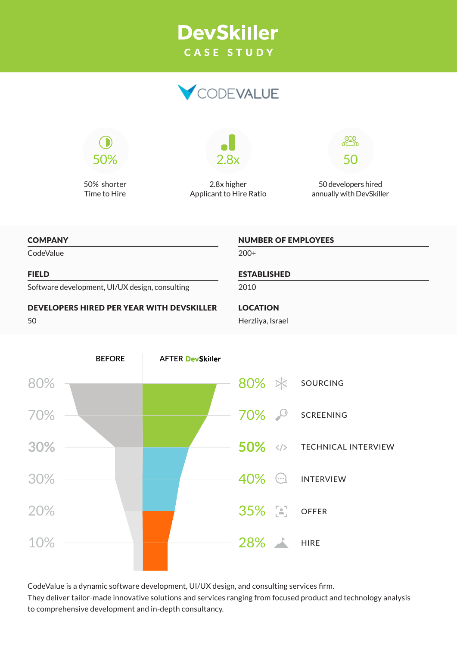# **DevSkiller** CASE STUDY





50% shorter Time to Hire



2.8x higher Applicant to Hire Ratio



50 developers hired annually with DevSkiller

#### **COMPANY**

CodeValue

#### FIELD

Software development, UI/UX design, consulting

#### DEVELOPERS HIRED PER YEAR WITH DEVSKILLER

50



NUMBER OF EMPLOYEES

2010

### LOCATION

Herzliya, Israel



CodeValue is a dynamic software development, UI/UX design, and consulting services firm. They deliver tailor-made innovative solutions and services ranging from focused product and technology analysis to comprehensive development and in-depth consultancy.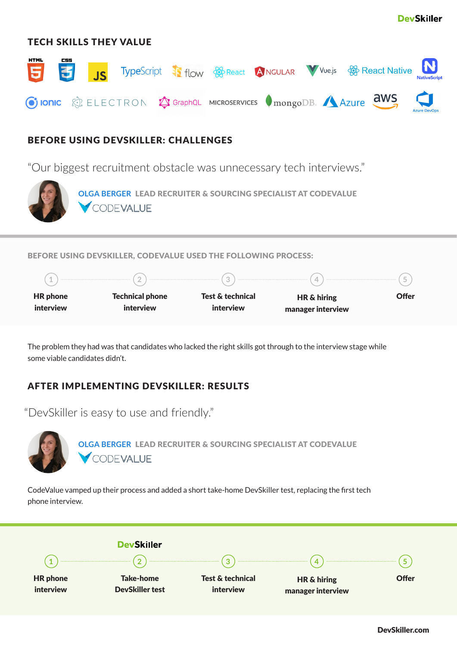

## TECH SKILLS THEY VALUE



## BEFORE USING DEVSKILLER: CHALLENGES

"Our biggest recruitment obstacle was unnecessary tech interviews."



**[OLGA BERGER](https://www.linkedin.com/in/olga-berger-hr/)** LEAD RECRUITER & SOURCING SPECIALIST AT CODEVALUE CODEVALUE

#### BEFORE USING DEVSKILLER, CODEVALUE USED THE FOLLOWING PROCESS:



The problem they had was that candidates who lacked the right skills got through to the interview stage while some viable candidates didn't.

# AFTER IMPLEMENTING DEVSKILLER: RESULTS

"DevSkiller is easy to use and friendly."



**[OLGA BERGER](https://www.linkedin.com/in/olga-berger-hr/)** LEAD RECRUITER & SOURCING SPECIALIST AT CODEVALUE CODEVALUE

CodeValue vamped up their process and added a short take-home DevSkiller test, replacing the first tech phone interview.